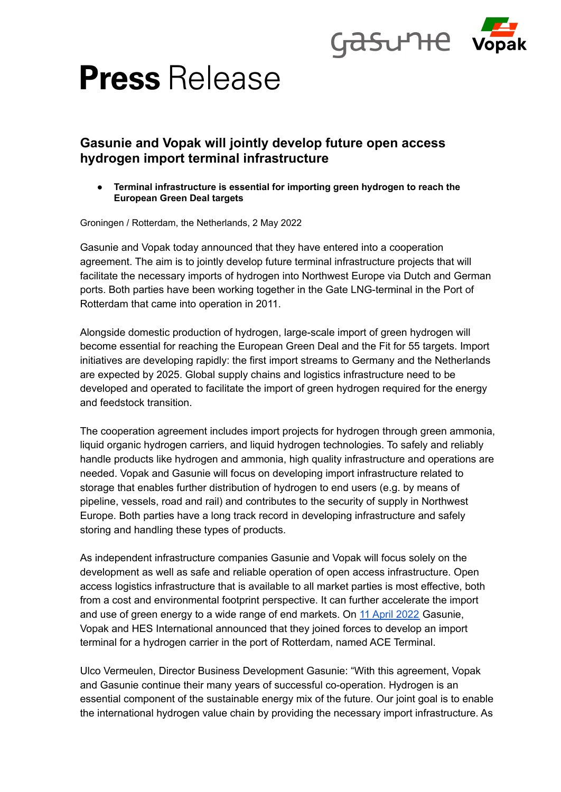

# **Press** Release

## **Gasunie and Vopak will jointly develop future open access hydrogen import terminal infrastructure**

**● Terminal infrastructure is essential for importing green hydrogen to reach the European Green Deal targets**

Groningen / Rotterdam, the Netherlands, 2 May 2022

Gasunie and Vopak today announced that they have entered into a cooperation agreement. The aim is to jointly develop future terminal infrastructure projects that will facilitate the necessary imports of hydrogen into Northwest Europe via Dutch and German ports. Both parties have been working together in the Gate LNG-terminal in the Port of Rotterdam that came into operation in 2011.

Alongside domestic production of hydrogen, large-scale import of green hydrogen will become essential for reaching the European Green Deal and the Fit for 55 targets. Import initiatives are developing rapidly: the first import streams to Germany and the Netherlands are expected by 2025. Global supply chains and logistics infrastructure need to be developed and operated to facilitate the import of green hydrogen required for the energy and feedstock transition.

The cooperation agreement includes import projects for hydrogen through green ammonia, liquid organic hydrogen carriers, and liquid hydrogen technologies. To safely and reliably handle products like hydrogen and ammonia, high quality infrastructure and operations are needed. Vopak and Gasunie will focus on developing import infrastructure related to storage that enables further distribution of hydrogen to end users (e.g. by means of pipeline, vessels, road and rail) and contributes to the security of supply in Northwest Europe. Both parties have a long track record in developing infrastructure and safely storing and handling these types of products.

As independent infrastructure companies Gasunie and Vopak will focus solely on the development as well as safe and reliable operation of open access infrastructure. Open access logistics infrastructure that is available to all market parties is most effective, both from a cost and environmental footprint perspective. It can further accelerate the import and use of green energy to a wide range of end markets. On 11 April [2022](https://www.vopak.com/newsroom/news/gasunie-hes-international-and-vopak-join-forces-develop-import-terminal-hydrogen) Gasunie, Vopak and HES International announced that they joined forces to develop an import terminal for a hydrogen carrier in the port of Rotterdam, named ACE Terminal.

Ulco Vermeulen, Director Business Development Gasunie: "With this agreement, Vopak and Gasunie continue their many years of successful co-operation. Hydrogen is an essential component of the sustainable energy mix of the future. Our joint goal is to enable the international hydrogen value chain by providing the necessary import infrastructure. As